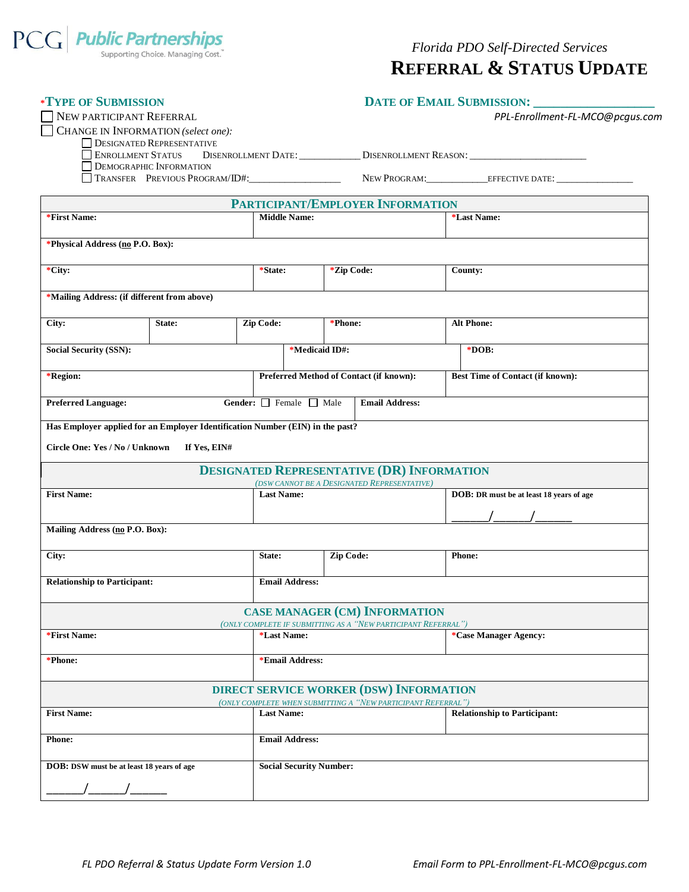

| <b>*TYPE OF SUBMISSION</b>                                                    |                                  |                                   | <b>DATE OF EMAIL SUBMISSION:</b>                                                                 |                                                                                                                |               |                                          |  |  |
|-------------------------------------------------------------------------------|----------------------------------|-----------------------------------|--------------------------------------------------------------------------------------------------|----------------------------------------------------------------------------------------------------------------|---------------|------------------------------------------|--|--|
| NEW PARTICIPANT REFERRAL                                                      |                                  |                                   | PPL-Enrollment-FL-MCO@pcgus.com                                                                  |                                                                                                                |               |                                          |  |  |
| CHANGE IN INFORMATION (select one):                                           |                                  |                                   |                                                                                                  |                                                                                                                |               |                                          |  |  |
|                                                                               | <b>DESIGNATED REPRESENTATIVE</b> |                                   |                                                                                                  |                                                                                                                |               |                                          |  |  |
| <b>ENROLLMENT STATUS</b>                                                      |                                  |                                   | DISENROLLMENT DATE: ________________DISENROLLMENT REASON: _______________________                |                                                                                                                |               |                                          |  |  |
|                                                                               | <b>DEMOGRAPHIC INFORMATION</b>   |                                   |                                                                                                  |                                                                                                                |               |                                          |  |  |
|                                                                               | TRANSFER PREVIOUS PROGRAM/ID#:   |                                   |                                                                                                  |                                                                                                                |               |                                          |  |  |
|                                                                               |                                  |                                   |                                                                                                  | PARTICIPANT/EMPLOYER INFORMATION                                                                               |               |                                          |  |  |
| *First Name:                                                                  |                                  |                                   | <b>Middle Name:</b>                                                                              |                                                                                                                |               | *Last Name:                              |  |  |
|                                                                               |                                  |                                   |                                                                                                  |                                                                                                                |               |                                          |  |  |
| *Physical Address (no P.O. Box):                                              |                                  |                                   |                                                                                                  |                                                                                                                |               |                                          |  |  |
| *City:                                                                        |                                  |                                   | *Zip Code:<br>*State:                                                                            |                                                                                                                |               | County:                                  |  |  |
|                                                                               |                                  |                                   |                                                                                                  |                                                                                                                |               |                                          |  |  |
| *Mailing Address: (if different from above)                                   |                                  |                                   |                                                                                                  |                                                                                                                |               |                                          |  |  |
|                                                                               |                                  |                                   |                                                                                                  |                                                                                                                |               |                                          |  |  |
| City:                                                                         | Zip Code:<br>State:              |                                   |                                                                                                  | *Phone:                                                                                                        |               | <b>Alt Phone:</b>                        |  |  |
|                                                                               |                                  |                                   |                                                                                                  |                                                                                                                |               |                                          |  |  |
| <b>Social Security (SSN):</b>                                                 |                                  |                                   | *Medicaid ID#:                                                                                   |                                                                                                                |               | $*DOB:$                                  |  |  |
|                                                                               |                                  |                                   |                                                                                                  |                                                                                                                |               |                                          |  |  |
| *Region:                                                                      |                                  |                                   | Preferred Method of Contact (if known):                                                          |                                                                                                                |               | <b>Best Time of Contact (if known):</b>  |  |  |
| <b>Preferred Language:</b>                                                    |                                  | Gender: $\Box$ Female $\Box$ Male | <b>Email Address:</b>                                                                            |                                                                                                                |               |                                          |  |  |
| Has Employer applied for an Employer Identification Number (EIN) in the past? |                                  |                                   |                                                                                                  |                                                                                                                |               |                                          |  |  |
|                                                                               |                                  |                                   |                                                                                                  |                                                                                                                |               |                                          |  |  |
| Circle One: Yes / No / Unknown                                                | If Yes, EIN#                     |                                   |                                                                                                  |                                                                                                                |               |                                          |  |  |
|                                                                               |                                  |                                   |                                                                                                  |                                                                                                                |               |                                          |  |  |
|                                                                               |                                  |                                   | <b>DESIGNATED REPRESENTATIVE (DR) INFORMATION</b><br>(DSW CANNOT BE A DESIGNATED REPRESENTATIVE) |                                                                                                                |               |                                          |  |  |
| <b>First Name:</b>                                                            |                                  |                                   | <b>Last Name:</b>                                                                                |                                                                                                                |               | DOB: DR must be at least 18 years of age |  |  |
|                                                                               |                                  |                                   |                                                                                                  |                                                                                                                |               |                                          |  |  |
|                                                                               |                                  |                                   |                                                                                                  |                                                                                                                |               |                                          |  |  |
| Mailing Address (no P.O. Box):                                                |                                  |                                   |                                                                                                  |                                                                                                                |               |                                          |  |  |
| City:                                                                         |                                  | State:                            |                                                                                                  | <b>Zip Code:</b>                                                                                               | <b>Phone:</b> |                                          |  |  |
|                                                                               |                                  |                                   |                                                                                                  |                                                                                                                |               |                                          |  |  |
| <b>Relationship to Participant:</b>                                           |                                  |                                   | <b>Email Address:</b>                                                                            |                                                                                                                |               |                                          |  |  |
|                                                                               |                                  |                                   |                                                                                                  |                                                                                                                |               |                                          |  |  |
|                                                                               |                                  |                                   |                                                                                                  | <b>CASE MANAGER (CM) INFORMATION</b>                                                                           |               |                                          |  |  |
|                                                                               |                                  |                                   |                                                                                                  | (ONLY COMPLETE IF SUBMITTING AS A "NEW PARTICIPANT REFERRAL")                                                  |               |                                          |  |  |
| *First Name:                                                                  |                                  |                                   | *Last Name:                                                                                      |                                                                                                                |               | <i>*Case Manager Agency:</i>             |  |  |
|                                                                               |                                  |                                   |                                                                                                  |                                                                                                                |               |                                          |  |  |
| *Phone:                                                                       |                                  |                                   | *Email Address:                                                                                  |                                                                                                                |               |                                          |  |  |
|                                                                               |                                  |                                   |                                                                                                  |                                                                                                                |               |                                          |  |  |
|                                                                               |                                  |                                   |                                                                                                  | <b>DIRECT SERVICE WORKER (DSW) INFORMATION</b><br>(ONLY COMPLETE WHEN SUBMITTING A "NEW PARTICIPANT REFERRAL") |               |                                          |  |  |
| <b>First Name:</b>                                                            |                                  |                                   | <b>Last Name:</b>                                                                                |                                                                                                                |               | <b>Relationship to Participant:</b>      |  |  |
| <b>Phone:</b>                                                                 |                                  |                                   | <b>Email Address:</b>                                                                            |                                                                                                                |               |                                          |  |  |
|                                                                               |                                  |                                   |                                                                                                  |                                                                                                                |               |                                          |  |  |
| DOB: DSW must be at least 18 years of age                                     |                                  |                                   | <b>Social Security Number:</b>                                                                   |                                                                                                                |               |                                          |  |  |
|                                                                               |                                  |                                   |                                                                                                  |                                                                                                                |               |                                          |  |  |
|                                                                               |                                  |                                   |                                                                                                  |                                                                                                                |               |                                          |  |  |